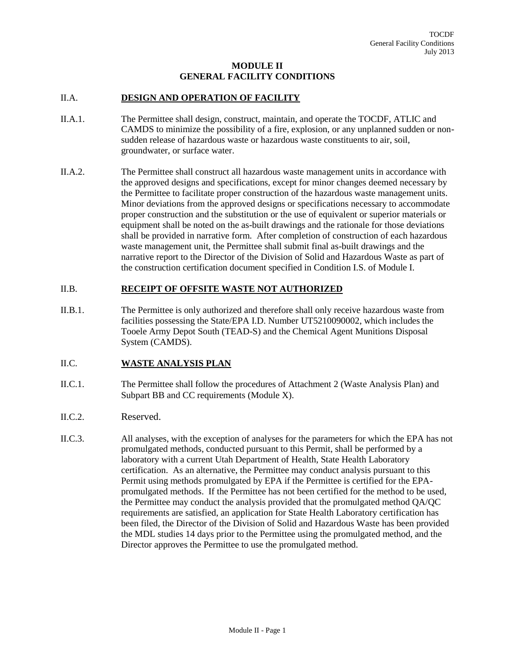# **MODULE II GENERAL FACILITY CONDITIONS**

# II.A. **DESIGN AND OPERATION OF FACILITY**

- II.A.1. The Permittee shall design, construct, maintain, and operate the TOCDF, ATLIC and CAMDS to minimize the possibility of a fire, explosion, or any unplanned sudden or nonsudden release of hazardous waste or hazardous waste constituents to air, soil, groundwater, or surface water.
- II.A.2. The Permittee shall construct all hazardous waste management units in accordance with the approved designs and specifications, except for minor changes deemed necessary by the Permittee to facilitate proper construction of the hazardous waste management units. Minor deviations from the approved designs or specifications necessary to accommodate proper construction and the substitution or the use of equivalent or superior materials or equipment shall be noted on the as-built drawings and the rationale for those deviations shall be provided in narrative form. After completion of construction of each hazardous waste management unit, the Permittee shall submit final as-built drawings and the narrative report to the Director of the Division of Solid and Hazardous Waste as part of the construction certification document specified in Condition I.S. of Module I.

### II.B. **RECEIPT OF OFFSITE WASTE NOT AUTHORIZED**

II.B.1. The Permittee is only authorized and therefore shall only receive hazardous waste from facilities possessing the State/EPA I.D. Number UT5210090002, which includes the Tooele Army Depot South (TEAD-S) and the Chemical Agent Munitions Disposal System (CAMDS).

# II.C. **WASTE ANALYSIS PLAN**

- II.C.1. The Permittee shall follow the procedures of Attachment 2 (Waste Analysis Plan) and Subpart BB and CC requirements (Module X).
- II.C.2. Reserved.
- II.C.3. All analyses, with the exception of analyses for the parameters for which the EPA has not promulgated methods, conducted pursuant to this Permit, shall be performed by a laboratory with a current Utah Department of Health, State Health Laboratory certification. As an alternative, the Permittee may conduct analysis pursuant to this Permit using methods promulgated by EPA if the Permittee is certified for the EPApromulgated methods. If the Permittee has not been certified for the method to be used, the Permittee may conduct the analysis provided that the promulgated method QA/QC requirements are satisfied, an application for State Health Laboratory certification has been filed, the Director of the Division of Solid and Hazardous Waste has been provided the MDL studies 14 days prior to the Permittee using the promulgated method, and the Director approves the Permittee to use the promulgated method.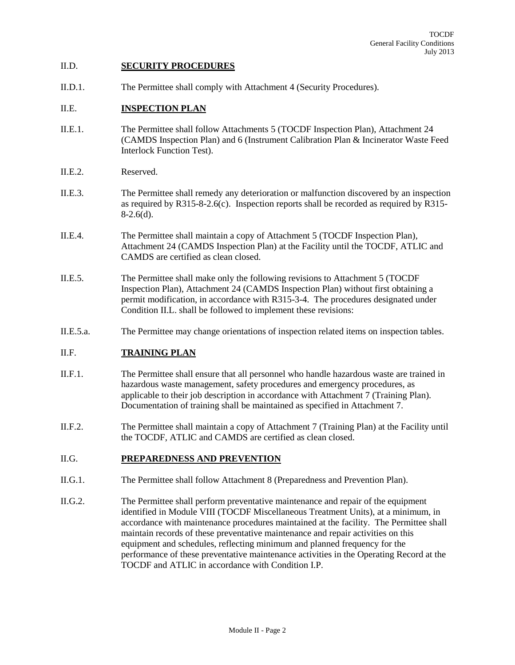#### II.D. **SECURITY PROCEDURES**

II.D.1. The Permittee shall comply with Attachment 4 (Security Procedures).

## II.E. **INSPECTION PLAN**

- II.E.1. The Permittee shall follow Attachments 5 (TOCDF Inspection Plan), Attachment 24 (CAMDS Inspection Plan) and 6 (Instrument Calibration Plan & Incinerator Waste Feed Interlock Function Test).
- II.E.2. Reserved.
- II.E.3. The Permittee shall remedy any deterioration or malfunction discovered by an inspection as required by R315-8-2.6(c). Inspection reports shall be recorded as required by R315-  $8-2.6(d)$ .
- II.E.4. The Permittee shall maintain a copy of Attachment 5 (TOCDF Inspection Plan), Attachment 24 (CAMDS Inspection Plan) at the Facility until the TOCDF, ATLIC and CAMDS are certified as clean closed.
- II.E.5. The Permittee shall make only the following revisions to Attachment 5 (TOCDF Inspection Plan), Attachment 24 (CAMDS Inspection Plan) without first obtaining a permit modification, in accordance with R315-3-4. The procedures designated under Condition II.L. shall be followed to implement these revisions:
- II.E.5.a. The Permittee may change orientations of inspection related items on inspection tables.

# II.F. **TRAINING PLAN**

- II.F.1. The Permittee shall ensure that all personnel who handle hazardous waste are trained in hazardous waste management, safety procedures and emergency procedures, as applicable to their job description in accordance with Attachment 7 (Training Plan). Documentation of training shall be maintained as specified in Attachment 7.
- II.F.2. The Permittee shall maintain a copy of Attachment 7 (Training Plan) at the Facility until the TOCDF, ATLIC and CAMDS are certified as clean closed.

#### II.G. **PREPAREDNESS AND PREVENTION**

- II.G.1. The Permittee shall follow Attachment 8 (Preparedness and Prevention Plan).
- II.G.2. The Permittee shall perform preventative maintenance and repair of the equipment identified in Module VIII (TOCDF Miscellaneous Treatment Units), at a minimum, in accordance with maintenance procedures maintained at the facility. The Permittee shall maintain records of these preventative maintenance and repair activities on this equipment and schedules, reflecting minimum and planned frequency for the performance of these preventative maintenance activities in the Operating Record at the TOCDF and ATLIC in accordance with Condition I.P.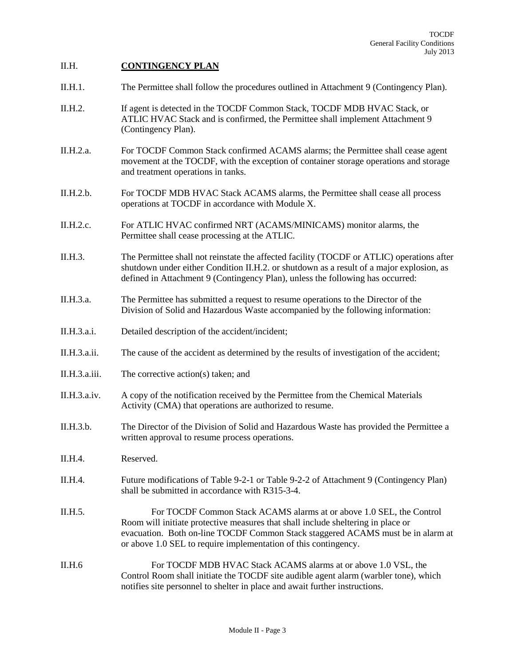# II.H. **CONTINGENCY PLAN**

- II.H.1. The Permittee shall follow the procedures outlined in Attachment 9 (Contingency Plan).
- II.H.2. If agent is detected in the TOCDF Common Stack, TOCDF MDB HVAC Stack, or ATLIC HVAC Stack and is confirmed, the Permittee shall implement Attachment 9 (Contingency Plan).
- II.H.2.a. For TOCDF Common Stack confirmed ACAMS alarms; the Permittee shall cease agent movement at the TOCDF, with the exception of container storage operations and storage and treatment operations in tanks.
- II.H.2.b. For TOCDF MDB HVAC Stack ACAMS alarms, the Permittee shall cease all process operations at TOCDF in accordance with Module X.
- II.H.2.c. For ATLIC HVAC confirmed NRT (ACAMS/MINICAMS) monitor alarms, the Permittee shall cease processing at the ATLIC.
- II.H.3. The Permittee shall not reinstate the affected facility (TOCDF or ATLIC) operations after shutdown under either Condition II.H.2. or shutdown as a result of a major explosion, as defined in Attachment 9 (Contingency Plan), unless the following has occurred:
- II.H.3.a. The Permittee has submitted a request to resume operations to the Director of the Division of Solid and Hazardous Waste accompanied by the following information:
- II.H.3.a.i. Detailed description of the accident/incident;
- II.H.3.a.ii. The cause of the accident as determined by the results of investigation of the accident;
- II.H.3.a.iii. The corrective action(s) taken; and
- II.H.3.a.iv. A copy of the notification received by the Permittee from the Chemical Materials Activity (CMA) that operations are authorized to resume.
- II.H.3.b. The Director of the Division of Solid and Hazardous Waste has provided the Permittee a written approval to resume process operations.
- II.H.4. Reserved.
- II.H.4. Future modifications of Table 9-2-1 or Table 9-2-2 of Attachment 9 (Contingency Plan) shall be submitted in accordance with R315-3-4.
- II.H.5. For TOCDF Common Stack ACAMS alarms at or above 1.0 SEL, the Control Room will initiate protective measures that shall include sheltering in place or evacuation. Both on-line TOCDF Common Stack staggered ACAMS must be in alarm at or above 1.0 SEL to require implementation of this contingency.
- II.H.6 For TOCDF MDB HVAC Stack ACAMS alarms at or above 1.0 VSL, the Control Room shall initiate the TOCDF site audible agent alarm (warbler tone), which notifies site personnel to shelter in place and await further instructions.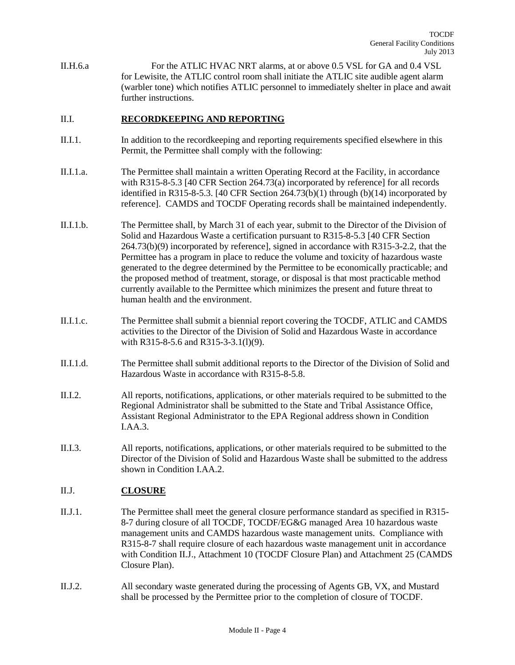II.H.6.a For the ATLIC HVAC NRT alarms, at or above 0.5 VSL for GA and 0.4 VSL for Lewisite, the ATLIC control room shall initiate the ATLIC site audible agent alarm (warbler tone) which notifies ATLIC personnel to immediately shelter in place and await further instructions.

# II.I. **RECORDKEEPING AND REPORTING**

- II.I.1. In addition to the recordkeeping and reporting requirements specified elsewhere in this Permit, the Permittee shall comply with the following:
- II.I.1.a. The Permittee shall maintain a written Operating Record at the Facility, in accordance with R315-8-5.3 [40 CFR Section 264.73(a) incorporated by reference] for all records identified in R315-8-5.3. [40 CFR Section 264.73(b)(1) through (b)(14) incorporated by reference]. CAMDS and TOCDF Operating records shall be maintained independently.
- II.I.1.b. The Permittee shall, by March 31 of each year, submit to the Director of the Division of Solid and Hazardous Waste a certification pursuant to R315-8-5.3 [40 CFR Section 264.73(b)(9) incorporated by reference], signed in accordance with R315-3-2.2, that the Permittee has a program in place to reduce the volume and toxicity of hazardous waste generated to the degree determined by the Permittee to be economically practicable; and the proposed method of treatment, storage, or disposal is that most practicable method currently available to the Permittee which minimizes the present and future threat to human health and the environment.
- II.I.1.c. The Permittee shall submit a biennial report covering the TOCDF, ATLIC and CAMDS activities to the Director of the Division of Solid and Hazardous Waste in accordance with R315-8-5.6 and R315-3-3.1(l)(9).
- II.I.1.d. The Permittee shall submit additional reports to the Director of the Division of Solid and Hazardous Waste in accordance with R315-8-5.8.
- II.I.2. All reports, notifications, applications, or other materials required to be submitted to the Regional Administrator shall be submitted to the State and Tribal Assistance Office, Assistant Regional Administrator to the EPA Regional address shown in Condition I.AA.3.
- II.I.3. All reports, notifications, applications, or other materials required to be submitted to the Director of the Division of Solid and Hazardous Waste shall be submitted to the address shown in Condition I.AA.2.

# II.J. **CLOSURE**

- II.J.1. The Permittee shall meet the general closure performance standard as specified in R315- 8-7 during closure of all TOCDF, TOCDF/EG&G managed Area 10 hazardous waste management units and CAMDS hazardous waste management units. Compliance with R315-8-7 shall require closure of each hazardous waste management unit in accordance with Condition II.J., Attachment 10 (TOCDF Closure Plan) and Attachment 25 (CAMDS Closure Plan).
- II.J.2. All secondary waste generated during the processing of Agents GB, VX, and Mustard shall be processed by the Permittee prior to the completion of closure of TOCDF.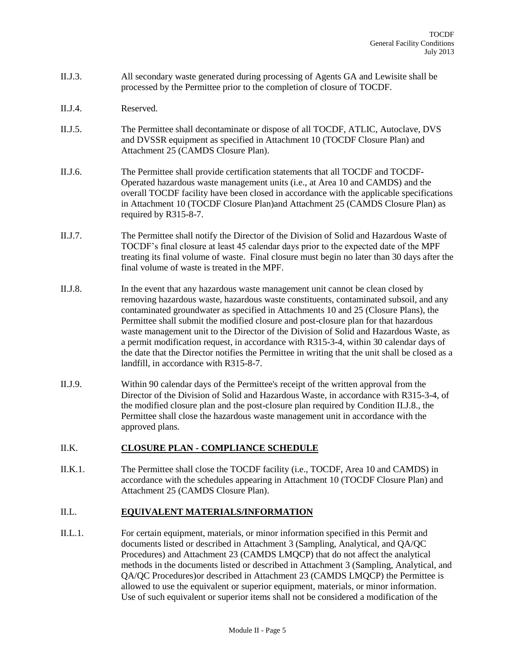- II.J.3. All secondary waste generated during processing of Agents GA and Lewisite shall be processed by the Permittee prior to the completion of closure of TOCDF.
- II.J.4. Reserved.
- II.J.5. The Permittee shall decontaminate or dispose of all TOCDF, ATLIC, Autoclave, DVS and DVSSR equipment as specified in Attachment 10 (TOCDF Closure Plan) and Attachment 25 (CAMDS Closure Plan).
- II.J.6. The Permittee shall provide certification statements that all TOCDF and TOCDF-Operated hazardous waste management units (i.e., at Area 10 and CAMDS) and the overall TOCDF facility have been closed in accordance with the applicable specifications in Attachment 10 (TOCDF Closure Plan)and Attachment 25 (CAMDS Closure Plan) as required by R315-8-7.
- II.J.7. The Permittee shall notify the Director of the Division of Solid and Hazardous Waste of TOCDF's final closure at least 45 calendar days prior to the expected date of the MPF treating its final volume of waste. Final closure must begin no later than 30 days after the final volume of waste is treated in the MPF.
- II.J.8. In the event that any hazardous waste management unit cannot be clean closed by removing hazardous waste, hazardous waste constituents, contaminated subsoil, and any contaminated groundwater as specified in Attachments 10 and 25 (Closure Plans), the Permittee shall submit the modified closure and post-closure plan for that hazardous waste management unit to the Director of the Division of Solid and Hazardous Waste, as a permit modification request, in accordance with R315-3-4, within 30 calendar days of the date that the Director notifies the Permittee in writing that the unit shall be closed as a landfill, in accordance with R315-8-7.
- II.J.9. Within 90 calendar days of the Permittee's receipt of the written approval from the Director of the Division of Solid and Hazardous Waste, in accordance with R315-3-4, of the modified closure plan and the post-closure plan required by Condition II.J.8., the Permittee shall close the hazardous waste management unit in accordance with the approved plans.

# II.K. **CLOSURE PLAN - COMPLIANCE SCHEDULE**

II.K.1. The Permittee shall close the TOCDF facility (i.e., TOCDF, Area 10 and CAMDS) in accordance with the schedules appearing in Attachment 10 (TOCDF Closure Plan) and Attachment 25 (CAMDS Closure Plan).

# II.L. **EQUIVALENT MATERIALS/INFORMATION**

II.L.1. For certain equipment, materials, or minor information specified in this Permit and documents listed or described in Attachment 3 (Sampling, Analytical, and QA/QC Procedures) and Attachment 23 (CAMDS LMQCP) that do not affect the analytical methods in the documents listed or described in Attachment 3 (Sampling, Analytical, and QA/QC Procedures)or described in Attachment 23 (CAMDS LMQCP) the Permittee is allowed to use the equivalent or superior equipment, materials, or minor information. Use of such equivalent or superior items shall not be considered a modification of the